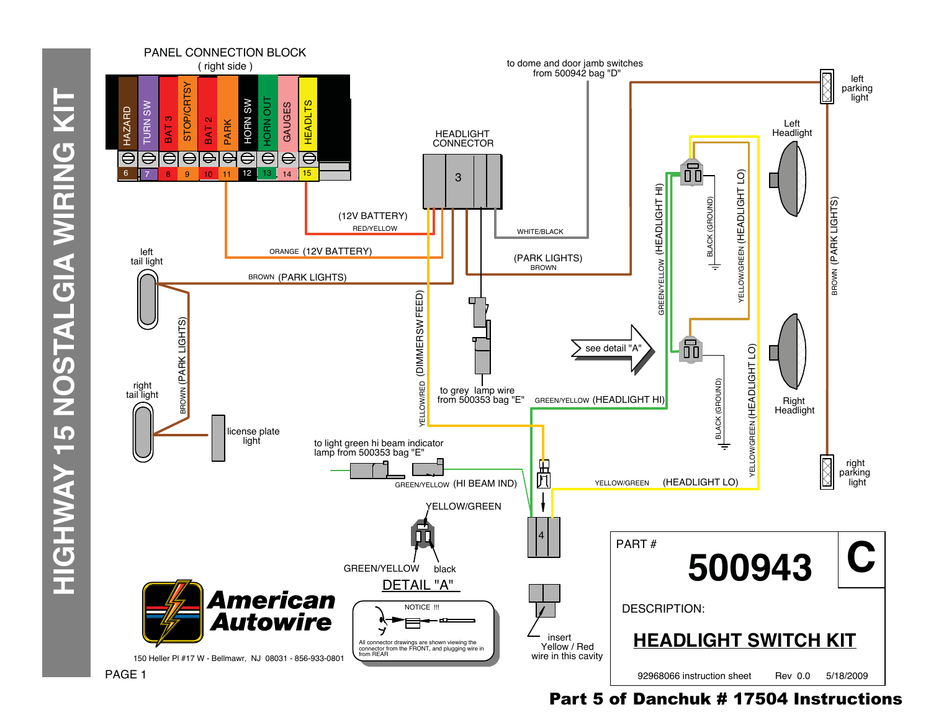

## Part 5 of Danchuk # 17504 Instructions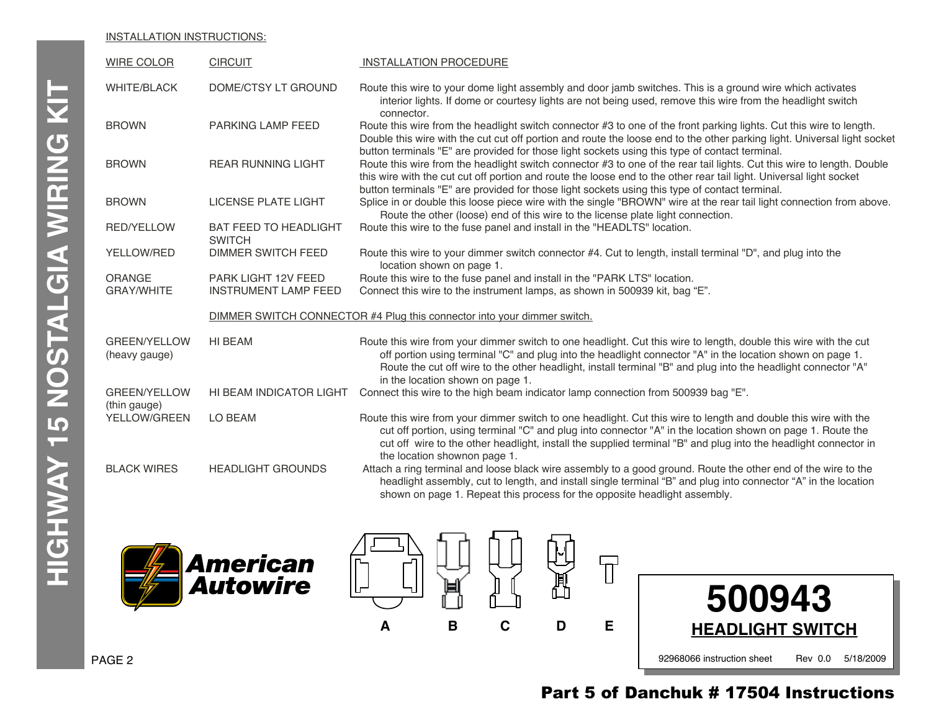#### INSTALLATION INSTRUCTIONS:

| <b>WIRE COLOR</b>                    | <b>CIRCUIT</b>                                                          | <b>INSTALLATION PROCEDURE</b>                                                                                                                                                                                                                                                                                                                                                      |  |
|--------------------------------------|-------------------------------------------------------------------------|------------------------------------------------------------------------------------------------------------------------------------------------------------------------------------------------------------------------------------------------------------------------------------------------------------------------------------------------------------------------------------|--|
| <b>WHITE/BLACK</b>                   | DOME/CTSY LT GROUND                                                     | Route this wire to your dome light assembly and door jamb switches. This is a ground wire which activates<br>interior lights. If dome or courtesy lights are not being used, remove this wire from the headlight switch<br>connector.                                                                                                                                              |  |
| <b>BROWN</b>                         | <b>PARKING LAMP FEED</b>                                                | Route this wire from the headlight switch connector #3 to one of the front parking lights. Cut this wire to length.<br>Double this wire with the cut cut off portion and route the loose end to the other parking light. Universal light socket<br>button terminals "E" are provided for those light sockets using this type of contact terminal.                                  |  |
| <b>BROWN</b>                         | <b>REAR RUNNING LIGHT</b>                                               | Route this wire from the headlight switch connector #3 to one of the rear tail lights. Cut this wire to length. Double<br>this wire with the cut cut off portion and route the loose end to the other rear tail light. Universal light socket<br>button terminals "E" are provided for those light sockets using this type of contact terminal.                                    |  |
| <b>BROWN</b>                         | <b>LICENSE PLATE LIGHT</b>                                              | Splice in or double this loose piece wire with the single "BROWN" wire at the rear tail light connection from above.<br>Route the other (loose) end of this wire to the license plate light connection.                                                                                                                                                                            |  |
| <b>RED/YELLOW</b>                    | <b>BAT FEED TO HEADLIGHT</b><br><b>SWITCH</b>                           | Route this wire to the fuse panel and install in the "HEADLTS" location.                                                                                                                                                                                                                                                                                                           |  |
| YELLOW/RED                           | <b>DIMMER SWITCH FEED</b>                                               | Route this wire to your dimmer switch connector #4. Cut to length, install terminal "D", and plug into the<br>location shown on page 1.                                                                                                                                                                                                                                            |  |
| <b>ORANGE</b><br><b>GRAY/WHITE</b>   | PARK LIGHT 12V FEED<br><b>INSTRUMENT LAMP FEED</b>                      | Route this wire to the fuse panel and install in the "PARK LTS" location.<br>Connect this wire to the instrument lamps, as shown in 500939 kit, bag "E".                                                                                                                                                                                                                           |  |
|                                      | DIMMER SWITCH CONNECTOR #4 Plug this connector into your dimmer switch. |                                                                                                                                                                                                                                                                                                                                                                                    |  |
| <b>GREEN/YELLOW</b><br>(heavy gauge) | HI BEAM                                                                 | Route this wire from your dimmer switch to one headlight. Cut this wire to length, double this wire with the cut<br>off portion using terminal "C" and plug into the headlight connector "A" in the location shown on page 1.<br>Route the cut off wire to the other headlight, install terminal "B" and plug into the headlight connector "A"<br>in the location shown on page 1. |  |
| <b>GREEN/YELLOW</b><br>(thin gauge)  | HI BEAM INDICATOR LIGHT                                                 | Connect this wire to the high beam indicator lamp connection from 500939 bag "E".                                                                                                                                                                                                                                                                                                  |  |
| YELLOW/GREEN                         | LO BEAM                                                                 | Route this wire from your dimmer switch to one headlight. Cut this wire to length and double this wire with the<br>cut off portion, using terminal "C" and plug into connector "A" in the location shown on page 1. Route the<br>cut off wire to the other headlight, install the supplied terminal "B" and plug into the headlight connector in<br>the location shownon page 1.   |  |
| <b>BLACK WIRES</b>                   | <b>HEADLIGHT GROUNDS</b>                                                | Attach a ring terminal and loose black wire assembly to a good ground. Route the other end of the wire to the<br>headlight assembly, cut to length, and install single terminal "B" and plug into connector "A" in the location<br>shown on page 1. Repeat this process for the opposite headlight assembly.                                                                       |  |







### PAGE 2

# Part 5 of Danchuk # 17504 Instructions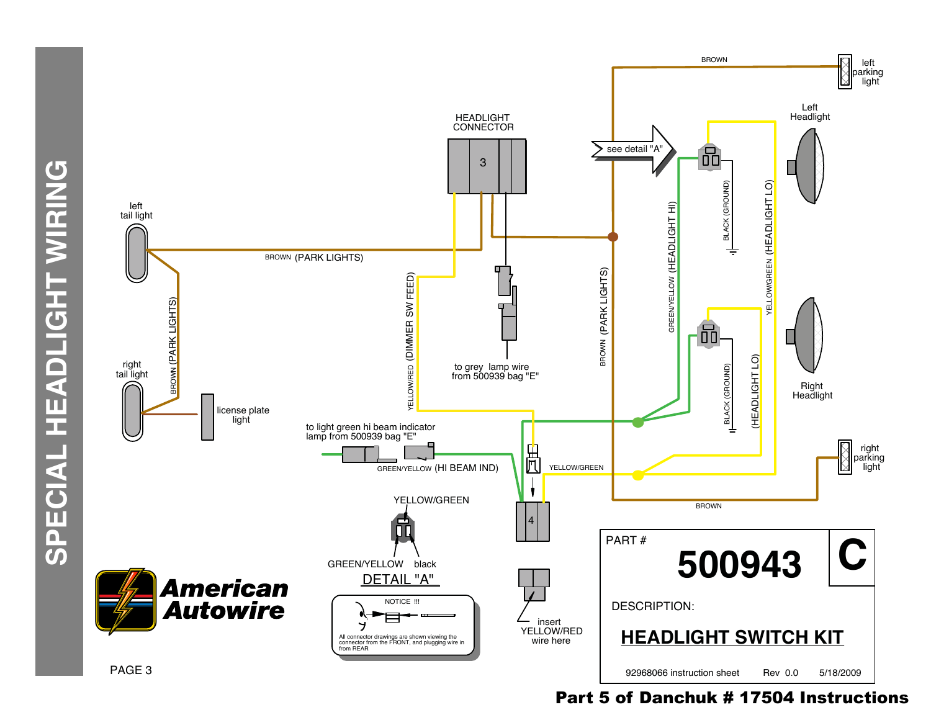

Part 5 of Danchuk # 17504 Instructions